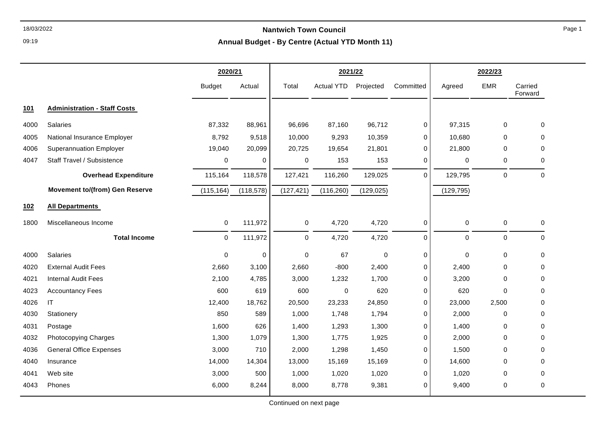09:19

|      |                                       | 2020/21<br>2021/22 |             |             |                   |             |             |             | 2022/23     |                    |
|------|---------------------------------------|--------------------|-------------|-------------|-------------------|-------------|-------------|-------------|-------------|--------------------|
|      |                                       | <b>Budget</b>      | Actual      | Total       | <b>Actual YTD</b> | Projected   | Committed   | Agreed      | <b>EMR</b>  | Carried<br>Forward |
| 101  | <b>Administration - Staff Costs</b>   |                    |             |             |                   |             |             |             |             |                    |
| 4000 | <b>Salaries</b>                       | 87,332             | 88,961      | 96,696      | 87,160            | 96,712      | 0           | 97,315      | $\mathbf 0$ | 0                  |
| 4005 | National Insurance Employer           | 8,792              | 9,518       | 10,000      | 9,293             | 10,359      | 0           | 10,680      | $\Omega$    | $\Omega$           |
| 4006 | <b>Superannuation Employer</b>        | 19,040             | 20,099      | 20,725      | 19,654            | 21,801      | $\mathbf 0$ | 21,800      | $\Omega$    | $\mathbf 0$        |
| 4047 | Staff Travel / Subsistence            | 0                  | 0           | 0           | 153               | 153         | 0           | 0           | $\mathbf 0$ | $\mathbf 0$        |
|      | <b>Overhead Expenditure</b>           | 115,164            | 118,578     | 127,421     | 116,260           | 129,025     | $\Omega$    | 129,795     | $\mathbf 0$ | $\Omega$           |
|      | <b>Movement to/(from) Gen Reserve</b> | (115, 164)         | (118, 578)  | (127, 421)  | (116, 260)        | (129, 025)  |             | (129, 795)  |             |                    |
| 102  | <b>All Departments</b>                |                    |             |             |                   |             |             |             |             |                    |
| 1800 | Miscellaneous Income                  | 0                  | 111,972     | 0           | 4,720             | 4,720       | 0           | $\pmb{0}$   | $\mathbf 0$ | $\mathbf 0$        |
|      | <b>Total Income</b>                   | 0                  | 111,972     | $\mathbf 0$ | 4,720             | 4,720       | $\mathbf 0$ | $\mathbf 0$ | $\mathbf 0$ | $\mathbf 0$        |
| 4000 | <b>Salaries</b>                       | $\Omega$           | $\mathbf 0$ | $\Omega$    | 67                | $\mathbf 0$ | $\mathbf 0$ | $\mathbf 0$ | $\Omega$    | $\Omega$           |
| 4020 | <b>External Audit Fees</b>            | 2,660              | 3,100       | 2,660       | $-800$            | 2,400       | 0           | 2,400       | $\mathbf 0$ | $\mathbf 0$        |
| 4021 | <b>Internal Audit Fees</b>            | 2,100              | 4,785       | 3,000       | 1,232             | 1,700       | 0           | 3,200       | $\Omega$    | $\mathbf 0$        |
| 4023 | <b>Accountancy Fees</b>               | 600                | 619         | 600         | 0                 | 620         | 0           | 620         | $\Omega$    | $\Omega$           |
| 4026 | IT                                    | 12,400             | 18,762      | 20,500      | 23,233            | 24,850      | 0           | 23,000      | 2,500       | $\mathbf 0$        |
| 4030 | Stationery                            | 850                | 589         | 1,000       | 1,748             | 1,794       | $\Omega$    | 2,000       | $\Omega$    | $\Omega$           |
| 4031 | Postage                               | 1,600              | 626         | 1,400       | 1,293             | 1,300       | 0           | 1,400       | $\Omega$    | $\mathbf 0$        |
| 4032 | Photocopying Charges                  | 1,300              | 1,079       | 1,300       | 1,775             | 1,925       | 0           | 2,000       | $\Omega$    | $\mathbf 0$        |
| 4036 | <b>General Office Expenses</b>        | 3,000              | 710         | 2,000       | 1,298             | 1,450       | 0           | 1,500       | $\Omega$    | $\mathbf 0$        |
| 4040 | Insurance                             | 14,000             | 14,304      | 13,000      | 15,169            | 15,169      | $\Omega$    | 14,600      | $\Omega$    | $\Omega$           |
| 4041 | Web site                              | 3,000              | 500         | 1,000       | 1,020             | 1,020       | 0           | 1,020       | 0           | $\mathbf 0$        |
| 4043 | Phones                                | 6,000              | 8,244       | 8,000       | 8,778             | 9,381       | $\Omega$    | 9,400       | $\mathbf 0$ | $\mathbf 0$        |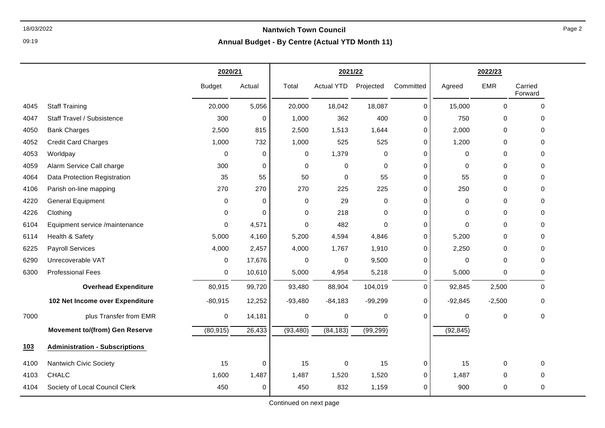09:19

|      |                                       | 2020/21       |             | 2021/22     |                   |             |             |             | 2022/23     |                    |
|------|---------------------------------------|---------------|-------------|-------------|-------------------|-------------|-------------|-------------|-------------|--------------------|
|      |                                       | <b>Budget</b> | Actual      | Total       | <b>Actual YTD</b> | Projected   | Committed   | Agreed      | <b>EMR</b>  | Carried<br>Forward |
| 4045 | <b>Staff Training</b>                 | 20,000        | 5,056       | 20,000      | 18,042            | 18,087      | $\mathbf 0$ | 15,000      | $\mathbf 0$ | $\mathbf 0$        |
| 4047 | Staff Travel / Subsistence            | 300           | 0           | 1,000       | 362               | 400         | 0           | 750         | 0           | 0                  |
| 4050 | <b>Bank Charges</b>                   | 2,500         | 815         | 2,500       | 1,513             | 1,644       | $\mathbf 0$ | 2,000       | 0           | 0                  |
| 4052 | <b>Credit Card Charges</b>            | 1,000         | 732         | 1,000       | 525               | 525         | $\mathbf 0$ | 1,200       | 0           | 0                  |
| 4053 | Worldpay                              | 0             | 0           | 0           | 1,379             | 0           | $\Omega$    | 0           | $\Omega$    | 0                  |
| 4059 | Alarm Service Call charge             | 300           | 0           | $\mathbf 0$ | 0                 | $\mathbf 0$ | $\Omega$    | 0           | 0           | 0                  |
| 4064 | Data Protection Registration          | 35            | 55          | 50          | 0                 | 55          | $\mathbf 0$ | 55          | 0           | 0                  |
| 4106 | Parish on-line mapping                | 270           | 270         | 270         | 225               | 225         | $\Omega$    | 250         | 0           | 0                  |
| 4220 | <b>General Equipment</b>              | 0             | 0           | $\mathbf 0$ | 29                | 0           | $\Omega$    | 0           | 0           | 0                  |
| 4226 | Clothing                              | 0             | 0           | 0           | 218               | $\mathbf 0$ | $\mathbf 0$ | 0           | 0           | 0                  |
| 6104 | Equipment service /maintenance        | $\Omega$      | 4,571       | $\Omega$    | 482               | $\Omega$    | $\Omega$    | $\Omega$    | $\Omega$    | 0                  |
| 6114 | Health & Safety                       | 5,000         | 4,160       | 5,200       | 4,594             | 4,846       | 0           | 5,200       | 0           | 0                  |
| 6225 | <b>Payroll Services</b>               | 4,000         | 2,457       | 4,000       | 1,767             | 1,910       | $\Omega$    | 2,250       | 0           | 0                  |
| 6290 | Unrecoverable VAT                     | 0             | 17,676      | 0           | 0                 | 9,500       | $\Omega$    | 0           | 0           | 0                  |
| 6300 | <b>Professional Fees</b>              | 0             | 10,610      | 5,000       | 4,954             | 5,218       | 0           | 5,000       | 0           | 0                  |
|      | <b>Overhead Expenditure</b>           | 80,915        | 99,720      | 93,480      | 88,904            | 104,019     | $\Omega$    | 92,845      | 2,500       | 0                  |
|      | 102 Net Income over Expenditure       | $-80,915$     | 12,252      | $-93,480$   | $-84,183$         | $-99,299$   | $\mathbf 0$ | $-92,845$   | $-2,500$    | 0                  |
| 7000 | plus Transfer from EMR                | 0             | 14,181      | $\mathbf 0$ | 0                 | 0           | $\Omega$    | $\mathbf 0$ | $\mathbf 0$ | 0                  |
|      | <b>Movement to/(from) Gen Reserve</b> | (80, 915)     | 26,433      | (93, 480)   | (84, 183)         | (99, 299)   |             | (92, 845)   |             |                    |
| 103  | <b>Administration - Subscriptions</b> |               |             |             |                   |             |             |             |             |                    |
| 4100 | Nantwich Civic Society                | 15            | $\mathbf 0$ | 15          | 0                 | 15          | $\mathbf 0$ | 15          | $\mathbf 0$ | 0                  |
| 4103 | CHALC                                 | 1,600         | 1,487       | 1,487       | 1,520             | 1,520       | $\mathbf 0$ | 1,487       | 0           | 0                  |
| 4104 | Society of Local Council Clerk        | 450           | $\mathbf 0$ | 450         | 832               | 1,159       | $\Omega$    | 900         | 0           | 0                  |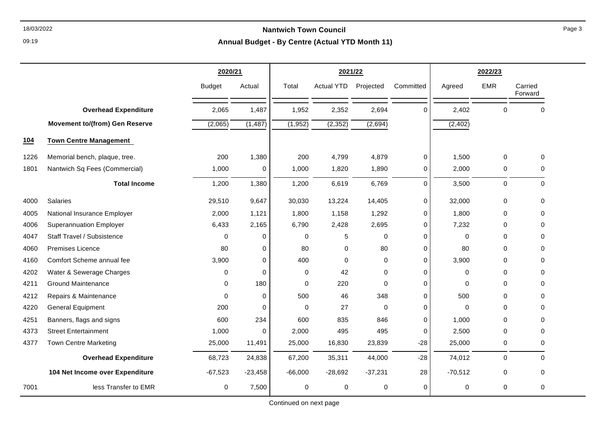09:19

|      |                                       | 2020/21       |             |             | 2021/22           |             |             |             | 2022/23     |                    |
|------|---------------------------------------|---------------|-------------|-------------|-------------------|-------------|-------------|-------------|-------------|--------------------|
|      |                                       | <b>Budget</b> | Actual      | Total       | <b>Actual YTD</b> | Projected   | Committed   | Agreed      | <b>EMR</b>  | Carried<br>Forward |
|      | <b>Overhead Expenditure</b>           | 2,065         | 1,487       | 1,952       | 2,352             | 2,694       | 0           | 2,402       | $\Omega$    | $\mathbf 0$        |
|      | <b>Movement to/(from) Gen Reserve</b> | (2,065)       | (1, 487)    | (1, 952)    | (2, 352)          | (2,694)     |             | (2, 402)    |             |                    |
| 104  | <b>Town Centre Management</b>         |               |             |             |                   |             |             |             |             |                    |
| 1226 | Memorial bench, plaque, tree.         | 200           | 1,380       | 200         | 4,799             | 4,879       | 0           | 1,500       | $\Omega$    | $\mathbf 0$        |
| 1801 | Nantwich Sq Fees (Commercial)         | 1,000         | 0           | 1,000       | 1,820             | 1,890       | 0           | 2,000       | 0           | 0                  |
|      | <b>Total Income</b>                   | 1,200         | 1,380       | 1,200       | 6,619             | 6,769       | 0           | 3,500       | $\mathbf 0$ | $\Omega$           |
| 4000 | Salaries                              | 29,510        | 9,647       | 30,030      | 13,224            | 14,405      | 0           | 32,000      | 0           | $\mathbf 0$        |
| 4005 | National Insurance Employer           | 2,000         | 1,121       | 1,800       | 1,158             | 1,292       | 0           | 1,800       | 0           | 0                  |
| 4006 | <b>Superannuation Employer</b>        | 6,433         | 2,165       | 6,790       | 2,428             | 2,695       | 0           | 7,232       | 0           | 0                  |
| 4047 | Staff Travel / Subsistence            | $\Omega$      | 0           | 0           | 5                 | $\Omega$    | 0           | $\Omega$    | 0           | 0                  |
| 4060 | <b>Premises Licence</b>               | 80            | $\mathbf 0$ | 80          | 0                 | 80          | $\mathbf 0$ | 80          | 0           | $\Omega$           |
| 4160 | Comfort Scheme annual fee             | 3,900         | 0           | 400         | $\mathbf 0$       | $\Omega$    | 0           | 3,900       | 0           | 0                  |
| 4202 | Water & Sewerage Charges              | 0             | 0           | 0           | 42                | $\Omega$    | 0           | $\mathbf 0$ | 0           | 0                  |
| 4211 | <b>Ground Maintenance</b>             | $\Omega$      | 180         | 0           | 220               | $\Omega$    | $\mathbf 0$ | $\Omega$    | 0           | $\Omega$           |
| 4212 | Repairs & Maintenance                 | $\Omega$      | $\mathbf 0$ | 500         | 46                | 348         | 0           | 500         | 0           | 0                  |
| 4220 | <b>General Equipment</b>              | 200           | $\mathbf 0$ | $\mathbf 0$ | 27                | $\mathbf 0$ | 0           | $\mathbf 0$ | 0           | 0                  |
| 4251 | Banners, flags and signs              | 600           | 234         | 600         | 835               | 846         | $\Omega$    | 1.000       | 0           | $\Omega$           |
| 4373 | <b>Street Entertainment</b>           | 1,000         | 0           | 2,000       | 495               | 495         | $\mathbf 0$ | 2,500       | 0           | 0                  |
| 4377 | <b>Town Centre Marketing</b>          | 25,000        | 11,491      | 25,000      | 16,830            | 23,839      | $-28$       | 25,000      | 0           | 0                  |
|      | <b>Overhead Expenditure</b>           | 68,723        | 24,838      | 67,200      | 35,311            | 44,000      | $-28$       | 74,012      | 0           | 0                  |
|      | 104 Net Income over Expenditure       | $-67,523$     | $-23,458$   | $-66,000$   | $-28,692$         | $-37,231$   | 28          | $-70,512$   | 0           | 0                  |
| 7001 | less Transfer to EMR                  | $\mathbf 0$   | 7,500       | $\mathbf 0$ | $\mathbf 0$       | $\mathbf 0$ | $\mathbf 0$ | $\mathbf 0$ | 0           | 0                  |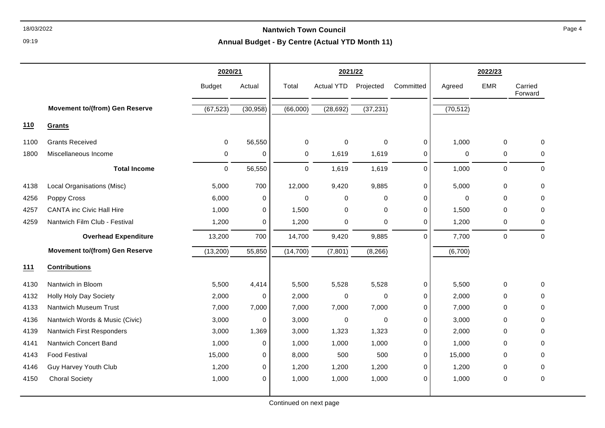09:19

# **Annual Budget - By Centre (Actual YTD Month 11)**

|      |                                       | 2020/21       |             | 2021/22     |                   |             |             | 2022/23   |             |                    |
|------|---------------------------------------|---------------|-------------|-------------|-------------------|-------------|-------------|-----------|-------------|--------------------|
|      |                                       | <b>Budget</b> | Actual      | Total       | <b>Actual YTD</b> | Projected   | Committed   | Agreed    | <b>EMR</b>  | Carried<br>Forward |
|      | <b>Movement to/(from) Gen Reserve</b> | (67, 523)     | (30, 958)   | (66,000)    | (28, 692)         | (37, 231)   |             | (70, 512) |             |                    |
| 110  | Grants                                |               |             |             |                   |             |             |           |             |                    |
| 1100 | <b>Grants Received</b>                | $\mathbf 0$   | 56,550      | $\pmb{0}$   | 0                 | $\pmb{0}$   | $\mathbf 0$ | 1,000     | $\mathbf 0$ | $\mathbf 0$        |
| 1800 | Miscellaneous Income                  | 0             | 0           | $\mathbf 0$ | 1,619             | 1,619       | 0           | 0         | 0           | $\Omega$           |
|      | <b>Total Income</b>                   | $\pmb{0}$     | 56,550      | $\pmb{0}$   | 1,619             | 1,619       | $\mathbf 0$ | 1,000     | $\mathbf 0$ | $\mathbf 0$        |
| 4138 | Local Organisations (Misc)            | 5,000         | 700         | 12,000      | 9,420             | 9,885       | $\mathbf 0$ | 5,000     | 0           | $\mathbf 0$        |
| 4256 | Poppy Cross                           | 6,000         | 0           | $\mathbf 0$ | 0                 | $\mathbf 0$ | $\Omega$    | 0         | $\Omega$    | $\Omega$           |
| 4257 | <b>CANTA inc Civic Hall Hire</b>      | 1,000         | 0           | 1,500       | 0                 | 0           | 0           | 1,500     | 0           | 0                  |
| 4259 | Nantwich Film Club - Festival         | 1,200         | $\mathbf 0$ | 1,200       | 0                 | 0           | $\Omega$    | 1,200     | 0           | $\mathbf 0$        |
|      | <b>Overhead Expenditure</b>           | 13,200        | 700         | 14,700      | 9,420             | 9,885       | $\Omega$    | 7,700     | $\pmb{0}$   | $\mathbf 0$        |
|      | <b>Movement to/(from) Gen Reserve</b> | (13,200)      | 55,850      | (14, 700)   | (7, 801)          | (8, 266)    |             | (6,700)   |             |                    |
| 111  | <b>Contributions</b>                  |               |             |             |                   |             |             |           |             |                    |
| 4130 | Nantwich in Bloom                     | 5,500         | 4,414       | 5,500       | 5,528             | 5,528       | $\mathbf 0$ | 5,500     | $\mathbf 0$ | $\mathbf 0$        |
| 4132 | Holly Holy Day Society                | 2,000         | 0           | 2,000       | 0                 | $\mathbf 0$ | $\Omega$    | 2,000     | $\Omega$    | $\Omega$           |
| 4133 | Nantwich Museum Trust                 | 7,000         | 7,000       | 7,000       | 7,000             | 7,000       | 0           | 7,000     | $\mathbf 0$ | 0                  |
| 4136 | Nantwich Words & Music (Civic)        | 3,000         | $\mathbf 0$ | 3,000       | 0                 | 0           | $\mathbf 0$ | 3,000     | $\mathbf 0$ | $\Omega$           |
| 4139 | Nantwich First Responders             | 3,000         | 1,369       | 3,000       | 1,323             | 1,323       | $\Omega$    | 2,000     | $\Omega$    | $\Omega$           |
| 4141 | Nantwich Concert Band                 | 1,000         | 0           | 1,000       | 1,000             | 1,000       | 0           | 1,000     | $\mathbf 0$ | 0                  |
| 4143 | <b>Food Festival</b>                  | 15,000        | 0           | 8,000       | 500               | 500         | $\Omega$    | 15,000    | $\mathbf 0$ | $\Omega$           |
| 4146 | <b>Guy Harvey Youth Club</b>          | 1,200         | 0           | 1,200       | 1,200             | 1,200       | 0           | 1,200     | 0           | $\Omega$           |
| 4150 | <b>Choral Society</b>                 | 1,000         | $\mathbf 0$ | 1,000       | 1,000             | 1,000       | 0           | 1,000     | 0           | $\mathbf 0$        |
|      |                                       |               |             |             |                   |             |             |           |             |                    |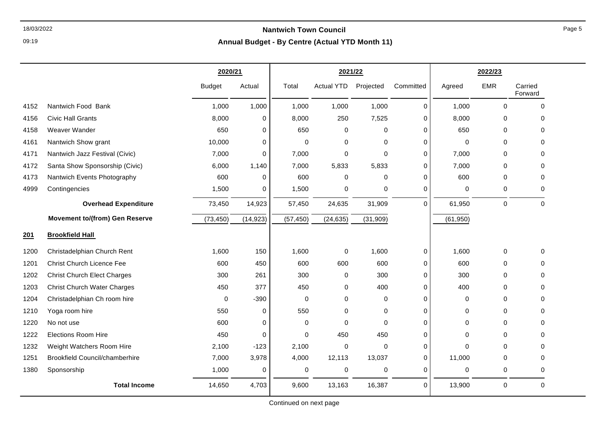09:19

|      |                                       | 2020/21       |             |             | 2021/22              |             |             |             | 2022/23     |                    |
|------|---------------------------------------|---------------|-------------|-------------|----------------------|-------------|-------------|-------------|-------------|--------------------|
|      |                                       | <b>Budget</b> | Actual      | Total       | Actual YTD Projected |             | Committed   | Agreed      | <b>EMR</b>  | Carried<br>Forward |
| 4152 | Nantwich Food Bank                    | 1,000         | 1,000       | 1,000       | 1,000                | 1,000       | $\mathbf 0$ | 1,000       | $\Omega$    | $\Omega$           |
| 4156 | <b>Civic Hall Grants</b>              | 8,000         | 0           | 8,000       | 250                  | 7,525       | 0           | 8,000       | $\mathbf 0$ | 0                  |
| 4158 | Weaver Wander                         | 650           | 0           | 650         | 0                    | 0           | $\mathbf 0$ | 650         | $\mathbf 0$ | $\Omega$           |
| 4161 | Nantwich Show grant                   | 10,000        | $\pmb{0}$   | 0           | 0                    | 0           | 0           | 0           | $\Omega$    | 0                  |
| 4171 | Nantwich Jazz Festival (Civic)        | 7,000         | $\mathbf 0$ | 7,000       | $\Omega$             | $\Omega$    | $\Omega$    | 7,000       | $\Omega$    | 0                  |
| 4172 | Santa Show Sponsorship (Civic)        | 6,000         | 1,140       | 7,000       | 5,833                | 5,833       | $\mathbf 0$ | 7,000       | 0           | 0                  |
| 4173 | Nantwich Events Photography           | 600           | $\mathbf 0$ | 600         | 0                    | $\mathbf 0$ | $\mathbf 0$ | 600         | $\mathbf 0$ | 0                  |
| 4999 | Contingencies                         | 1,500         | $\mathbf 0$ | 1,500       | 0                    | $\mathbf 0$ | $\mathbf 0$ | 0           | 0           | 0                  |
|      | <b>Overhead Expenditure</b>           | 73,450        | 14,923      | 57,450      | 24,635               | 31,909      | $\mathbf 0$ | 61,950      | $\pmb{0}$   | $\mathbf 0$        |
|      | <b>Movement to/(from) Gen Reserve</b> | (73, 450)     | (14, 923)   | (57, 450)   | (24, 635)            | (31, 909)   |             | (61, 950)   |             |                    |
| 201  | <b>Brookfield Hall</b>                |               |             |             |                      |             |             |             |             |                    |
| 1200 | Christadelphian Church Rent           | 1,600         | 150         | 1,600       | 0                    | 1,600       | 0           | 1,600       | 0           | $\mathbf 0$        |
| 1201 | <b>Christ Church Licence Fee</b>      | 600           | 450         | 600         | 600                  | 600         | $\mathbf 0$ | 600         | 0           | 0                  |
| 1202 | <b>Christ Church Elect Charges</b>    | 300           | 261         | 300         | 0                    | 300         | 0           | 300         | $\mathbf 0$ | $\Omega$           |
| 1203 | <b>Christ Church Water Charges</b>    | 450           | 377         | 450         | 0                    | 400         | 0           | 400         | $\Omega$    | $\Omega$           |
| 1204 | Christadelphian Ch room hire          | $\mathbf 0$   | $-390$      | $\mathbf 0$ | 0                    | 0           | $\mathbf 0$ | 0           | 0           | 0                  |
| 1210 | Yoga room hire                        | 550           | $\pmb{0}$   | 550         | 0                    | $\mathbf 0$ | $\mathbf 0$ | $\mathbf 0$ | $\Omega$    | $\Omega$           |
| 1220 | No not use                            | 600           | 0           | 0           | 0                    | 0           | $\Omega$    | 0           | $\Omega$    | 0                  |
| 1222 | <b>Elections Room Hire</b>            | 450           | $\Omega$    | $\Omega$    | 450                  | 450         | $\Omega$    | 0           | $\mathbf 0$ | 0                  |
| 1232 | Weight Watchers Room Hire             | 2,100         | $-123$      | 2,100       | 0                    | $\mathbf 0$ | 0           | $\mathbf 0$ | $\Omega$    | $\Omega$           |
| 1251 | <b>Brookfield Council/chamberhire</b> | 7,000         | 3,978       | 4,000       | 12,113               | 13,037      | 0           | 11,000      | $\mathbf 0$ | 0                  |
| 1380 | Sponsorship                           | 1,000         | $\mathbf 0$ | $\pmb{0}$   | 0                    | $\mathbf 0$ | $\mathbf 0$ | 0           | 0           | 0                  |
|      | <b>Total Income</b>                   | 14,650        | 4,703       | 9,600       | 13,163               | 16,387      | $\mathbf 0$ | 13,900      | 0           | $\mathbf 0$        |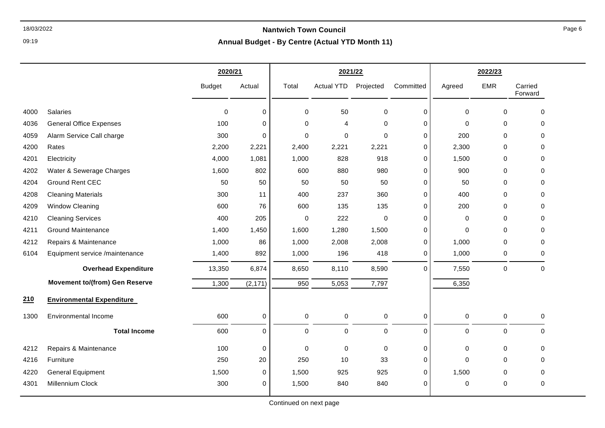09:19

#### **Annual Budget - By Centre (Actual YTD Month 11)**

|      |                                       | 2020/21       |             | 2021/22     |                        |                     |             | 2022/23     |             |                    |
|------|---------------------------------------|---------------|-------------|-------------|------------------------|---------------------|-------------|-------------|-------------|--------------------|
|      |                                       | <b>Budget</b> | Actual      | Total       | <b>Actual YTD</b>      | Projected           | Committed   | Agreed      | <b>EMR</b>  | Carried<br>Forward |
| 4000 | Salaries                              | $\mathbf 0$   | 0           | 0           | 50                     | $\mathbf 0$         | 0           | $\Omega$    | 0           | $\mathbf 0$        |
| 4036 | <b>General Office Expenses</b>        | 100           | $\mathbf 0$ | $\Omega$    | $\boldsymbol{\Lambda}$ | $\mathbf 0$         | 0           | $\Omega$    | $\Omega$    | $\Omega$           |
| 4059 | Alarm Service Call charge             | 300           | $\mathbf 0$ | 0           | 0                      | $\mathbf 0$         | 0           | 200         | $\mathbf 0$ | $\mathbf 0$        |
| 4200 | Rates                                 | 2,200         | 2,221       | 2,400       | 2,221                  | 2,221               | 0           | 2,300       | 0           | $\Omega$           |
| 4201 | Electricity                           | 4,000         | 1,081       | 1,000       | 828                    | 918                 | 0           | 1,500       | $\mathbf 0$ | 0                  |
| 4202 | Water & Sewerage Charges              | 1,600         | 802         | 600         | 880                    | 980                 | 0           | 900         | 0           | 0                  |
| 4204 | <b>Ground Rent CEC</b>                | 50            | 50          | 50          | 50                     | 50                  | $\mathbf 0$ | 50          | $\mathbf 0$ | $\mathbf 0$        |
| 4208 | <b>Cleaning Materials</b>             | 300           | 11          | 400         | 237                    | 360                 | $\mathbf 0$ | 400         | $\mathbf 0$ | 0                  |
| 4209 | <b>Window Cleaning</b>                | 600           | 76          | 600         | 135                    | 135                 | 0           | 200         | 0           | 0                  |
| 4210 | <b>Cleaning Services</b>              | 400           | 205         | 0           | 222                    | $\mathbf 0$         | 0           | 0           | 0           | $\mathbf 0$        |
| 4211 | <b>Ground Maintenance</b>             | 1,400         | 1,450       | 1,600       | 1,280                  | 1,500               | 0           | $\Omega$    | $\mathbf 0$ | 0                  |
| 4212 | Repairs & Maintenance                 | 1,000         | 86          | 1,000       | 2,008                  | 2,008               | 0           | 1,000       | 0           | 0                  |
| 6104 | Equipment service /maintenance        | 1,400         | 892         | 1,000       | 196                    | 418                 | 0           | 1,000       | 0           | 0                  |
|      | <b>Overhead Expenditure</b>           | 13,350        | 6,874       | 8,650       | 8,110                  | 8,590               | 0           | 7,550       | 0           | 0                  |
|      | <b>Movement to/(from) Gen Reserve</b> | 1,300         | (2, 171)    | 950         | 5,053                  | 7,797               |             | 6,350       |             |                    |
| 210  | <b>Environmental Expenditure</b>      |               |             |             |                        |                     |             |             |             |                    |
| 1300 | <b>Environmental Income</b>           | 600           | 0           | 0           | 0                      | $\,0\,$             | 0           | $\pmb{0}$   | $\pmb{0}$   | 0                  |
|      | <b>Total Income</b>                   | 600           | $\mathbf 0$ | $\mathbf 0$ | $\mathbf 0$            | $\mathsf{O}\xspace$ | 0           | 0           | 0           | 0                  |
| 4212 | Repairs & Maintenance                 | 100           | $\mathbf 0$ | 0           | $\mathbf 0$            | $\pmb{0}$           | $\mathbf 0$ | $\mathbf 0$ | 0           | 0                  |
| 4216 | Furniture                             | 250           | 20          | 250         | 10                     | 33                  | 0           | 0           | $\mathbf 0$ | 0                  |
| 4220 | <b>General Equipment</b>              | 1,500         | 0           | 1,500       | 925                    | 925                 | 0           | 1,500       | 0           | 0                  |
| 4301 | Millennium Clock                      | 300           | 0           | 1,500       | 840                    | 840                 | 0           | 0           | 0           | 0                  |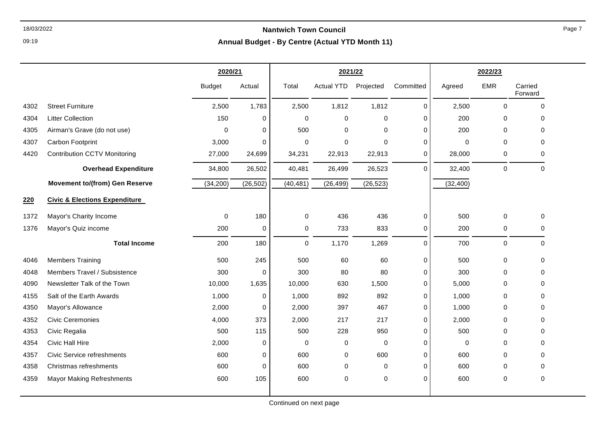09:19

|      |                                          | 2020/21       |             |             | 2021/22           |             |             |             | 2022/23     |                    |
|------|------------------------------------------|---------------|-------------|-------------|-------------------|-------------|-------------|-------------|-------------|--------------------|
|      |                                          | <b>Budget</b> | Actual      | Total       | <b>Actual YTD</b> | Projected   | Committed   | Agreed      | <b>EMR</b>  | Carried<br>Forward |
| 4302 | <b>Street Furniture</b>                  | 2,500         | 1,783       | 2,500       | 1,812             | 1,812       | $\mathbf 0$ | 2,500       | $\mathbf 0$ | $\mathbf 0$        |
| 4304 | <b>Litter Collection</b>                 | 150           | 0           | $\mathbf 0$ | 0                 | 0           | 0           | 200         | 0           | 0                  |
| 4305 | Airman's Grave (do not use)              | 0             | $\Omega$    | 500         | 0                 | $\mathbf 0$ | $\Omega$    | 200         | $\Omega$    | $\Omega$           |
| 4307 | Carbon Footprint                         | 3,000         | $\mathbf 0$ | $\mathbf 0$ | 0                 | $\Omega$    | 0           | $\mathbf 0$ | $\Omega$    | $\mathbf 0$        |
| 4420 | <b>Contribution CCTV Monitoring</b>      | 27,000        | 24,699      | 34,231      | 22,913            | 22,913      | 0           | 28,000      | 0           | $\Omega$           |
|      | <b>Overhead Expenditure</b>              | 34,800        | 26,502      | 40,481      | 26,499            | 26,523      | $\Omega$    | 32,400      | $\mathbf 0$ | $\mathbf 0$        |
|      | <b>Movement to/(from) Gen Reserve</b>    | (34, 200)     | (26, 502)   | (40, 481)   | (26, 499)         | (26, 523)   |             | (32, 400)   |             |                    |
| 220  | <b>Civic &amp; Elections Expenditure</b> |               |             |             |                   |             |             |             |             |                    |
| 1372 | Mayor's Charity Income                   | 0             | 180         | $\mathbf 0$ | 436               | 436         | 0           | 500         | $\mathbf 0$ | 0                  |
| 1376 | Mayor's Quiz income                      | 200           | 0           | $\mathbf 0$ | 733               | 833         | 0           | 200         | 0           | 0                  |
|      | <b>Total Income</b>                      | 200           | 180         | $\mathbf 0$ | 1,170             | 1,269       | $\Omega$    | 700         | $\mathbf 0$ | $\Omega$           |
| 4046 | <b>Members Training</b>                  | 500           | 245         | 500         | 60                | 60          | 0           | 500         | 0           | $\Omega$           |
| 4048 | Members Travel / Subsistence             | 300           | $\mathbf 0$ | 300         | 80                | 80          | 0           | 300         | 0           | 0                  |
| 4090 | Newsletter Talk of the Town              | 10,000        | 1,635       | 10,000      | 630               | 1,500       | 0           | 5,000       | 0           | $\Omega$           |
| 4155 | Salt of the Earth Awards                 | 1,000         | 0           | 1,000       | 892               | 892         | $\Omega$    | 1,000       | $\Omega$    | $\Omega$           |
| 4350 | Mayor's Allowance                        | 2,000         | 0           | 2,000       | 397               | 467         | 0           | 1,000       | $\mathbf 0$ | $\mathbf 0$        |
| 4352 | <b>Civic Ceremonies</b>                  | 4,000         | 373         | 2,000       | 217               | 217         | 0           | 2,000       | $\Omega$    | $\mathbf 0$        |
| 4353 | Civic Regalia                            | 500           | 115         | 500         | 228               | 950         | $\Omega$    | 500         | $\Omega$    | $\Omega$           |
| 4354 | Civic Hall Hire                          | 2,000         | 0           | 0           | 0                 | $\mathbf 0$ | 0           | $\mathbf 0$ | 0           | $\Omega$           |
| 4357 | <b>Civic Service refreshments</b>        | 600           | 0           | 600         | 0                 | 600         | 0           | 600         | $\Omega$    | $\Omega$           |
| 4358 | Christmas refreshments                   | 600           | 0           | 600         | 0                 | 0           | $\Omega$    | 600         | 0           | 0                  |
| 4359 | <b>Mayor Making Refreshments</b>         | 600           | 105         | 600         | 0                 | $\mathbf 0$ | 0           | 600         | $\pmb{0}$   | $\pmb{0}$          |
|      |                                          |               |             |             |                   |             |             |             |             |                    |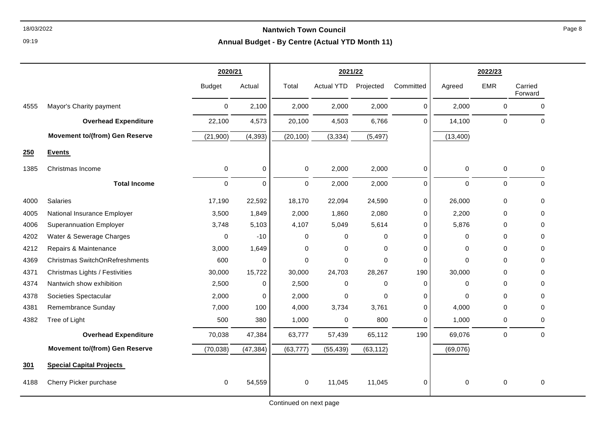09:19

|      |                                       | 2020/21       |             |             | 2021/22              |           |           |             | 2022/23     |                    |
|------|---------------------------------------|---------------|-------------|-------------|----------------------|-----------|-----------|-------------|-------------|--------------------|
|      |                                       | <b>Budget</b> | Actual      | Total       | Actual YTD Projected |           | Committed | Agreed      | <b>EMR</b>  | Carried<br>Forward |
| 4555 | Mayor's Charity payment               | $\mathbf 0$   | 2,100       | 2,000       | 2,000                | 2,000     | 0         | 2,000       | 0           | $\mathbf 0$        |
|      | <b>Overhead Expenditure</b>           | 22,100        | 4,573       | 20,100      | 4,503                | 6,766     | 0         | 14,100      | $\mathbf 0$ | $\Omega$           |
|      | <b>Movement to/(from) Gen Reserve</b> | (21,900)      | (4, 393)    | (20, 100)   | (3, 334)             | (5, 497)  |           | (13, 400)   |             |                    |
| 250  | <b>Events</b>                         |               |             |             |                      |           |           |             |             |                    |
| 1385 | Christmas Income                      | 0             | 0           | $\mathbf 0$ | 2,000                | 2,000     | 0         | $\pmb{0}$   | 0           | $\pmb{0}$          |
|      | <b>Total Income</b>                   | $\mathbf 0$   | $\mathbf 0$ | $\Omega$    | 2,000                | 2,000     | 0         | $\mathbf 0$ | $\mathbf 0$ | $\Omega$           |
| 4000 | Salaries                              | 17,190        | 22,592      | 18,170      | 22,094               | 24,590    | 0         | 26,000      | $\mathbf 0$ | $\Omega$           |
| 4005 | National Insurance Employer           | 3,500         | 1,849       | 2,000       | 1,860                | 2,080     | 0         | 2,200       | 0           | 0                  |
| 4006 | <b>Superannuation Employer</b>        | 3,748         | 5,103       | 4,107       | 5,049                | 5,614     | 0         | 5,876       | 0           | 0                  |
| 4202 | Water & Sewerage Charges              | $\Omega$      | $-10$       | 0           | 0                    | 0         | 0         | $\Omega$    | 0           | $\Omega$           |
| 4212 | Repairs & Maintenance                 | 3,000         | 1,649       | 0           | 0                    | 0         | 0         | $\mathbf 0$ | 0           | 0                  |
| 4369 | Christmas SwitchOnRefreshments        | 600           | $\mathbf 0$ | 0           | 0                    | $\Omega$  | 0         | $\Omega$    | 0           | 0                  |
| 4371 | Christmas Lights / Festivities        | 30,000        | 15,722      | 30,000      | 24,703               | 28,267    | 190       | 30,000      | 0           | $\Omega$           |
| 4374 | Nantwich show exhibition              | 2,500         | $\mathbf 0$ | 2,500       | $\pmb{0}$            | 0         | 0         | $\mathbf 0$ | 0           | 0                  |
| 4378 | Societies Spectacular                 | 2,000         | 0           | 2,000       | $\mathbf 0$          | $\Omega$  | 0         | $\Omega$    | 0           | 0                  |
| 4381 | Remembrance Sunday                    | 7,000         | 100         | 4,000       | 3,734                | 3,761     | 0         | 4,000       | 0           | $\Omega$           |
| 4382 | Tree of Light                         | 500           | 380         | 1,000       | 0                    | 800       | 0         | 1,000       | 0           | 0                  |
|      | <b>Overhead Expenditure</b>           | 70,038        | 47,384      | 63,777      | 57,439               | 65,112    | 190       | 69,076      | $\mathbf 0$ | $\mathbf 0$        |
|      | <b>Movement to/(from) Gen Reserve</b> | (70, 038)     | (47, 384)   | (63, 777)   | (55, 439)            | (63, 112) |           | (69,076)    |             |                    |
| 301  | <b>Special Capital Projects</b>       |               |             |             |                      |           |           |             |             |                    |
| 4188 | Cherry Picker purchase                | $\mathbf 0$   | 54,559      | 0           | 11,045               | 11,045    | 0         | $\mathbf 0$ | 0           | $\mathbf 0$        |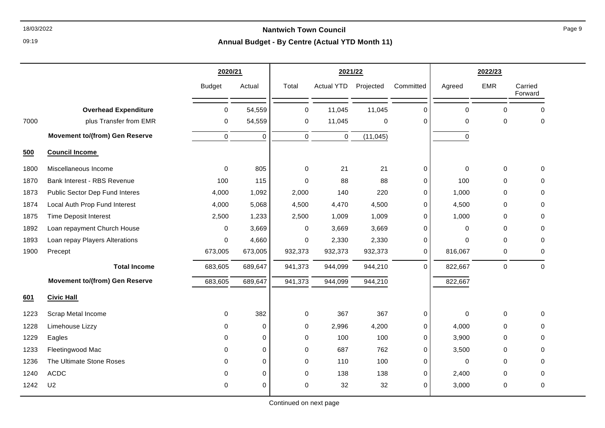09:19

|      |                                       | 2020/21       |             |             | 2021/22           |             |             |             | 2022/23     |                    |
|------|---------------------------------------|---------------|-------------|-------------|-------------------|-------------|-------------|-------------|-------------|--------------------|
|      |                                       | <b>Budget</b> | Actual      | Total       | <b>Actual YTD</b> | Projected   | Committed   | Agreed      | <b>EMR</b>  | Carried<br>Forward |
|      | <b>Overhead Expenditure</b>           | $\mathbf 0$   | 54,559      | $\mathbf 0$ | 11,045            | 11,045      | $\Omega$    | $\mathbf 0$ | $\Omega$    | $\Omega$           |
| 7000 | plus Transfer from EMR                | 0             | 54,559      | $\mathbf 0$ | 11,045            | $\mathbf 0$ | $\Omega$    | $\Omega$    | $\Omega$    | $\Omega$           |
|      | <b>Movement to/(from) Gen Reserve</b> | $\mathbf 0$   | $\mathbf 0$ | $\mathbf 0$ | 0                 | (11, 045)   |             | 0           |             |                    |
| 500  | <b>Council Income</b>                 |               |             |             |                   |             |             |             |             |                    |
| 1800 | Miscellaneous Income                  | 0             | 805         | $\mathbf 0$ | 21                | 21          | 0           | 0           | $\mathbf 0$ | $\Omega$           |
| 1870 | Bank Interest - RBS Revenue           | 100           | 115         | $\Omega$    | 88                | 88          | $\mathbf 0$ | 100         | $\mathbf 0$ | $\Omega$           |
| 1873 | Public Sector Dep Fund Interes        | 4,000         | 1,092       | 2,000       | 140               | 220         | $\Omega$    | 1,000       | $\Omega$    | $\Omega$           |
| 1874 | Local Auth Prop Fund Interest         | 4,000         | 5,068       | 4,500       | 4,470             | 4,500       | 0           | 4,500       | $\mathbf 0$ | 0                  |
| 1875 | <b>Time Deposit Interest</b>          | 2,500         | 1,233       | 2,500       | 1,009             | 1,009       | $\Omega$    | 1,000       | $\Omega$    | $\Omega$           |
| 1892 | Loan repayment Church House           | $\Omega$      | 3,669       | $\mathbf 0$ | 3,669             | 3,669       | $\Omega$    | $\mathbf 0$ | 0           | $\Omega$           |
| 1893 | Loan repay Players Alterations        | 0             | 4,660       | $\mathbf 0$ | 2,330             | 2,330       | 0           | $\Omega$    | $\Omega$    | $\Omega$           |
| 1900 | Precept                               | 673,005       | 673,005     | 932,373     | 932,373           | 932,373     | 0           | 816,067     | 0           | $\Omega$           |
|      | <b>Total Income</b>                   | 683,605       | 689,647     | 941,373     | 944,099           | 944,210     | $\mathbf 0$ | 822,667     | $\pmb{0}$   | $\mathbf 0$        |
|      | <b>Movement to/(from) Gen Reserve</b> | 683,605       | 689,647     | 941,373     | 944,099           | 944,210     |             | 822,667     |             |                    |
| 601  | <b>Civic Hall</b>                     |               |             |             |                   |             |             |             |             |                    |
| 1223 | Scrap Metal Income                    | $\Omega$      | 382         | $\mathbf 0$ | 367               | 367         | $\mathbf 0$ | $\mathbf 0$ | $\mathbf 0$ | $\Omega$           |
| 1228 | Limehouse Lizzy                       | 0             | $\mathbf 0$ | $\mathbf 0$ | 2,996             | 4,200       | $\mathbf 0$ | 4,000       | $\mathbf 0$ | $\Omega$           |
| 1229 | Eagles                                | $\Omega$      | $\mathbf 0$ | $\mathbf 0$ | 100               | 100         | 0           | 3,900       | $\Omega$    | $\Omega$           |
| 1233 | Fleetingwood Mac                      | $\Omega$      | 0           | $\mathbf 0$ | 687               | 762         | $\mathbf 0$ | 3,500       | $\mathbf 0$ | $\Omega$           |
| 1236 | The Ultimate Stone Roses              | $\Omega$      | $\mathbf 0$ | $\mathbf 0$ | 110               | 100         | $\Omega$    | $\mathbf 0$ | $\Omega$    | $\Omega$           |
| 1240 | <b>ACDC</b>                           | $\Omega$      | $\mathbf 0$ | $\mathbf 0$ | 138               | 138         | 0           | 2,400       | $\Omega$    | $\Omega$           |
| 1242 | U <sub>2</sub>                        | $\Omega$      | 0           | $\Omega$    | 32                | 32          | $\Omega$    | 3,000       | 0           | $\Omega$           |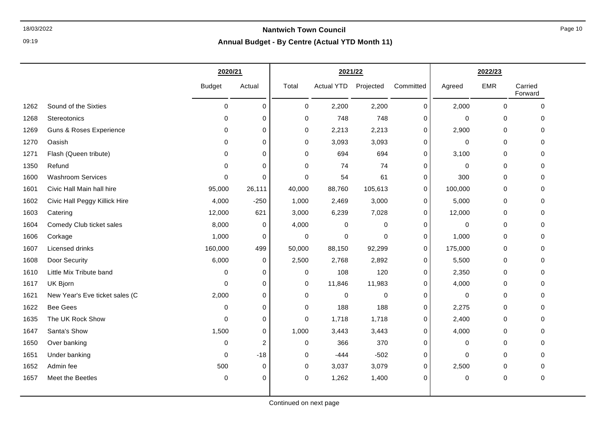09:19

|      |                                    | 2020/21       |                | 2021/22     |                   |           |             |             | 2022/23     |                    |
|------|------------------------------------|---------------|----------------|-------------|-------------------|-----------|-------------|-------------|-------------|--------------------|
|      |                                    | <b>Budget</b> | Actual         | Total       | <b>Actual YTD</b> | Projected | Committed   | Agreed      | <b>EMR</b>  | Carried<br>Forward |
| 1262 | Sound of the Sixties               | $\mathbf 0$   | $\mathbf 0$    | 0           | 2,200             | 2,200     | 0           | 2,000       | $\mathbf 0$ | $\Omega$           |
| 1268 | Stereotonics                       | $\Omega$      | $\mathbf 0$    | 0           | 748               | 748       | 0           | 0           | $\mathbf 0$ | $\Omega$           |
| 1269 | <b>Guns &amp; Roses Experience</b> | 0             | 0              | $\pmb{0}$   | 2,213             | 2,213     | 0           | 2,900       | 0           | 0                  |
| 1270 | Oasish                             | $\Omega$      | 0              | $\mathbf 0$ | 3,093             | 3,093     | 0           | $\mathbf 0$ | $\mathbf 0$ | $\Omega$           |
| 1271 | Flash (Queen tribute)              | $\Omega$      | $\mathbf 0$    | $\mathbf 0$ | 694               | 694       | $\mathbf 0$ | 3,100       | $\mathbf 0$ | $\Omega$           |
| 1350 | Refund                             | 0             | 0              | 0           | 74                | 74        | 0           | 0           | 0           | 0                  |
| 1600 | <b>Washroom Services</b>           | $\mathbf 0$   | $\mathbf 0$    | 0           | 54                | 61        | 0           | 300         | 0           | $\Omega$           |
| 1601 | Civic Hall Main hall hire          | 95,000        | 26,111         | 40,000      | 88,760            | 105,613   | $\mathbf 0$ | 100,000     | 0           | 0                  |
| 1602 | Civic Hall Peggy Killick Hire      | 4,000         | $-250$         | 1,000       | 2,469             | 3,000     | $\mathbf 0$ | 5,000       | 0           | 0                  |
| 1603 | Catering                           | 12,000        | 621            | 3,000       | 6,239             | 7,028     | 0           | 12,000      | 0           | $\Omega$           |
| 1604 | Comedy Club ticket sales           | 8,000         | 0              | 4,000       | 0                 | $\pmb{0}$ | 0           | 0           | $\mathbf 0$ | $\Omega$           |
| 1606 | Corkage                            | 1,000         | $\mathbf 0$    | $\pmb{0}$   | 0                 | 0         | $\mathbf 0$ | 1,000       | 0           | $\Omega$           |
| 1607 | Licensed drinks                    | 160,000       | 499            | 50,000      | 88,150            | 92,299    | $\mathbf 0$ | 175,000     | $\mathbf 0$ | $\Omega$           |
| 1608 | Door Security                      | 6,000         | 0              | 2,500       | 2,768             | 2,892     | $\mathbf 0$ | 5,500       | 0           | $\Omega$           |
| 1610 | Little Mix Tribute band            | 0             | 0              | 0           | 108               | 120       | 0           | 2,350       | 0           | 0                  |
| 1617 | UK Bjorn                           | $\mathbf 0$   | 0              | 0           | 11,846            | 11,983    | 0           | 4,000       | 0           | $\Omega$           |
| 1621 | New Year's Eve ticket sales (C     | 2,000         | $\mathbf 0$    | $\mathbf 0$ | 0                 | 0         | $\mathbf 0$ | 0           | $\mathbf 0$ | 0                  |
| 1622 | <b>Bee Gees</b>                    | 0             | $\mathbf 0$    | 0           | 188               | 188       | $\mathbf 0$ | 2,275       | 0           | 0                  |
| 1635 | The UK Rock Show                   | 0             | 0              | 0           | 1,718             | 1,718     | 0           | 2,400       | 0           | 0                  |
| 1647 | Santa's Show                       | 1,500         | 0              | 1,000       | 3,443             | 3,443     | 0           | 4,000       | $\mathbf 0$ | $\Omega$           |
| 1650 | Over banking                       | 0             | $\overline{c}$ | 0           | 366               | 370       | 0           | 0           | 0           | 0                  |
| 1651 | Under banking                      | 0             | $-18$          | $\mathbf 0$ | $-444$            | $-502$    | $\mathbf 0$ | 0           | $\mathbf 0$ | $\Omega$           |
| 1652 | Admin fee                          | 500           | 0              | 0           | 3,037             | 3,079     | 0           | 2,500       | 0           | 0                  |
| 1657 | Meet the Beetles                   | $\pmb{0}$     | 0              | 0           | 1,262             | 1,400     | $\mathbf 0$ | 0           | $\mathbf 0$ | $\mathbf 0$        |
|      |                                    |               |                |             |                   |           |             |             |             |                    |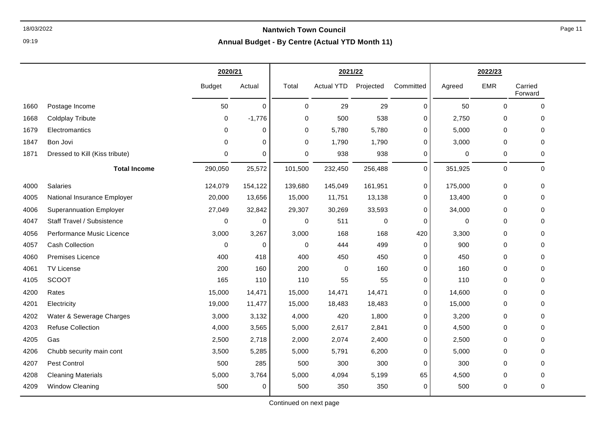09:19

| Postage Income<br>1660<br><b>Coldplay Tribute</b><br>1668<br>1679<br>Electromantics<br>Bon Jovi<br>1847<br>Dressed to Kill (Kiss tribute)<br>1871 | <b>Budget</b> | Actual   |             | 2021/22           |           |             | 2022/23  |             |                    |
|---------------------------------------------------------------------------------------------------------------------------------------------------|---------------|----------|-------------|-------------------|-----------|-------------|----------|-------------|--------------------|
|                                                                                                                                                   |               |          | Total       | <b>Actual YTD</b> | Projected | Committed   | Agreed   | EMR         | Carried<br>Forward |
|                                                                                                                                                   | 50            | $\Omega$ | $\mathbf 0$ | 29                | 29        | $\mathbf 0$ | 50       | $\Omega$    | $\mathbf 0$        |
|                                                                                                                                                   | 0             | $-1,776$ | 0           | 500               | 538       | 0           | 2,750    | 0           | 0                  |
|                                                                                                                                                   | 0             | 0        | 0           | 5,780             | 5,780     | 0           | 5,000    | 0           | 0                  |
|                                                                                                                                                   | $\Omega$      | 0        | 0           | 1,790             | 1,790     | 0           | 3,000    | $\mathbf 0$ | 0                  |
|                                                                                                                                                   | $\Omega$      | 0        | 0           | 938               | 938       | 0           | 0        | 0           | 0                  |
| <b>Total Income</b>                                                                                                                               | 290,050       | 25,572   | 101,500     | 232,450           | 256,488   | $\mathbf 0$ | 351,925  | $\pmb{0}$   | $\mathbf 0$        |
| Salaries<br>4000                                                                                                                                  | 124,079       | 154,122  | 139,680     | 145,049           | 161,951   | 0           | 175,000  | 0           | 0                  |
| National Insurance Employer<br>4005                                                                                                               | 20,000        | 13,656   | 15,000      | 11,751            | 13,138    | 0           | 13,400   | 0           | 0                  |
| <b>Superannuation Employer</b><br>4006                                                                                                            | 27,049        | 32,842   | 29,307      | 30,269            | 33,593    | 0           | 34,000   | 0           | 0                  |
| Staff Travel / Subsistence<br>4047                                                                                                                | 0             | $\Omega$ | 0           | 511               | $\pmb{0}$ | 0           | $\Omega$ | $\mathbf 0$ | 0                  |
| Performance Music Licence<br>4056                                                                                                                 | 3,000         | 3,267    | 3,000       | 168               | 168       | 420         | 3,300    | 0           | 0                  |
| <b>Cash Collection</b><br>4057                                                                                                                    | $\mathbf 0$   | 0        | $\mathbf 0$ | 444               | 499       | 0           | 900      | $\pmb{0}$   | 0                  |
| <b>Premises Licence</b><br>4060                                                                                                                   | 400           | 418      | 400         | 450               | 450       | 0           | 450      | $\mathbf 0$ | 0                  |
| 4061<br><b>TV License</b>                                                                                                                         | 200           | 160      | 200         | $\mathbf 0$       | 160       | $\Omega$    | 160      | 0           | 0                  |
| <b>SCOOT</b><br>4105                                                                                                                              | 165           | 110      | 110         | 55                | 55        | 0           | 110      | 0           | 0                  |
| 4200<br>Rates                                                                                                                                     | 15,000        | 14,471   | 15,000      | 14,471            | 14,471    | $\mathbf 0$ | 14,600   | $\mathbf 0$ | 0                  |
| Electricity<br>4201                                                                                                                               | 19,000        | 11,477   | 15,000      | 18,483            | 18,483    | 0           | 15,000   | 0           | 0                  |
| Water & Sewerage Charges<br>4202                                                                                                                  | 3,000         | 3,132    | 4,000       | 420               | 1,800     | 0           | 3,200    | 0           | 0                  |
| <b>Refuse Collection</b><br>4203                                                                                                                  | 4,000         | 3,565    | 5,000       | 2,617             | 2,841     | 0           | 4,500    | 0           | 0                  |
| 4205<br>Gas                                                                                                                                       | 2,500         | 2,718    | 2,000       | 2,074             | 2,400     | 0           | 2,500    | 0           | 0                  |
| 4206<br>Chubb security main cont                                                                                                                  | 3,500         | 5,285    | 5,000       | 5,791             | 6,200     | 0           | 5,000    | 0           | 0                  |
| Pest Control<br>4207                                                                                                                              | 500           | 285      | 500         | 300               | 300       | $\mathbf 0$ | 300      | $\mathbf 0$ | 0                  |
| <b>Cleaning Materials</b><br>4208                                                                                                                 | 5,000         | 3,764    | 5,000       | 4,094             | 5,199     | 65          | 4,500    | 0           | 0                  |
| <b>Window Cleaning</b><br>4209                                                                                                                    | 500           | 0        | 500         | 350               | 350       | $\mathbf 0$ | 500      | 0           | 0                  |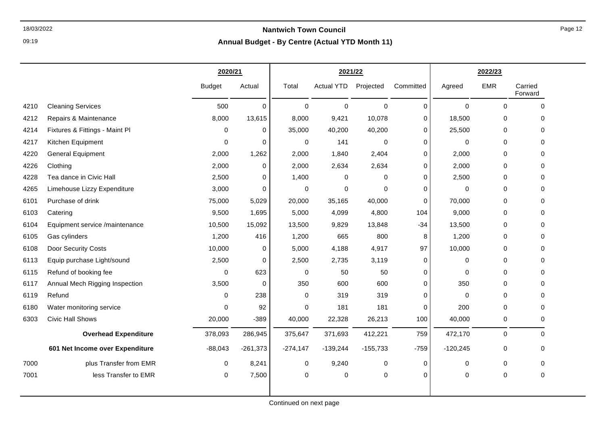09:19

|      |                                 |               | 2020/21     |             | 2021/22           |             |             | 2022/23     |             |                    |
|------|---------------------------------|---------------|-------------|-------------|-------------------|-------------|-------------|-------------|-------------|--------------------|
|      |                                 | <b>Budget</b> | Actual      | Total       | <b>Actual YTD</b> | Projected   | Committed   | Agreed      | <b>EMR</b>  | Carried<br>Forward |
| 4210 | <b>Cleaning Services</b>        | 500           | 0           | $\mathbf 0$ | $\mathbf 0$       | $\mathbf 0$ | 0           | $\Omega$    | $\Omega$    | $\mathbf 0$        |
| 4212 | Repairs & Maintenance           | 8,000         | 13,615      | 8,000       | 9,421             | 10,078      | $\Omega$    | 18,500      | 0           | $\Omega$           |
| 4214 | Fixtures & Fittings - Maint Pl  | 0             | 0           | 35,000      | 40,200            | 40,200      | 0           | 25,500      | $\mathbf 0$ | $\Omega$           |
| 4217 | Kitchen Equipment               | $\mathbf 0$   | 0           | 0           | 141               | $\mathbf 0$ | 0           | $\mathbf 0$ | $\mathbf 0$ | 0                  |
| 4220 | <b>General Equipment</b>        | 2,000         | 1,262       | 2,000       | 1,840             | 2,404       | 0           | 2,000       | $\mathbf 0$ | 0                  |
| 4226 | Clothing                        | 2,000         | 0           | 2,000       | 2,634             | 2,634       | 0           | 2,000       | $\mathbf 0$ | $\Omega$           |
| 4228 | Tea dance in Civic Hall         | 2,500         | 0           | 1,400       | 0                 | $\mathbf 0$ | 0           | 2,500       | $\mathbf 0$ | 0                  |
| 4265 | Limehouse Lizzy Expenditure     | 3,000         | 0           | 0           | 0                 | $\mathbf 0$ | 0           | 0           | $\mathbf 0$ | 0                  |
| 6101 | Purchase of drink               | 75,000        | 5,029       | 20,000      | 35,165            | 40,000      | 0           | 70,000      | $\mathbf 0$ | $\Omega$           |
| 6103 | Catering                        | 9,500         | 1,695       | 5,000       | 4,099             | 4,800       | 104         | 9,000       | $\mathbf 0$ | 0                  |
| 6104 | Equipment service /maintenance  | 10,500        | 15,092      | 13,500      | 9,829             | 13,848      | $-34$       | 13,500      | $\mathbf 0$ | $\Omega$           |
| 6105 | Gas cylinders                   | 1,200         | 416         | 1,200       | 665               | 800         | 8           | 1,200       | 0           | 0                  |
| 6108 | Door Security Costs             | 10,000        | 0           | 5,000       | 4,188             | 4,917       | 97          | 10,000      | $\mathbf 0$ | 0                  |
| 6113 | Equip purchase Light/sound      | 2,500         | 0           | 2,500       | 2,735             | 3,119       | 0           | 0           | 0           | 0                  |
| 6115 | Refund of booking fee           | $\pmb{0}$     | 623         | $\pmb{0}$   | 50                | 50          | $\mathbf 0$ | 0           | $\mathbf 0$ | 0                  |
| 6117 | Annual Mech Rigging Inspection  | 3,500         | $\mathbf 0$ | 350         | 600               | 600         | $\mathbf 0$ | 350         | $\mathbf 0$ | 0                  |
| 6119 | Refund                          | 0             | 238         | 0           | 319               | 319         | 0           | 0           | 0           | 0                  |
| 6180 | Water monitoring service        | $\mathbf 0$   | 92          | 0           | 181               | 181         | 0           | 200         | $\mathbf 0$ | 0                  |
| 6303 | <b>Civic Hall Shows</b>         | 20,000        | $-389$      | 40,000      | 22,328            | 26,213      | 100         | 40,000      | $\mathbf 0$ | $\mathbf 0$        |
|      | <b>Overhead Expenditure</b>     | 378,093       | 286,945     | 375,647     | 371,693           | 412,221     | 759         | 472,170     | $\mathbf 0$ | 0                  |
|      | 601 Net Income over Expenditure | $-88,043$     | $-261,373$  | $-274,147$  | $-139,244$        | $-155,733$  | $-759$      | $-120,245$  | 0           | 0                  |
| 7000 | plus Transfer from EMR          | $\mathbf 0$   | 8,241       | $\mathbf 0$ | 9,240             | 0           | $\mathbf 0$ | 0           | $\mathbf 0$ | $\mathbf 0$        |
| 7001 | less Transfer to EMR            | 0             | 7,500       | 0           | 0                 | $\pmb{0}$   | 0           | 0           | $\mathbf 0$ | 0                  |
|      |                                 |               |             |             |                   |             |             |             |             |                    |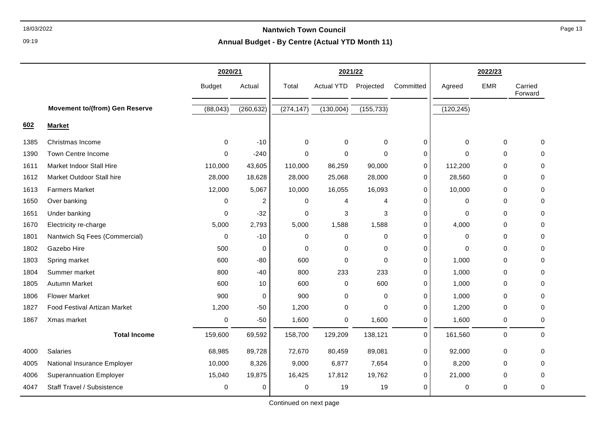09:19

|      |                                       | 2020/21       |             | 2021/22     |                   |             | 2022/23     |             |             |                    |
|------|---------------------------------------|---------------|-------------|-------------|-------------------|-------------|-------------|-------------|-------------|--------------------|
|      |                                       | <b>Budget</b> | Actual      | Total       | <b>Actual YTD</b> | Projected   | Committed   | Agreed      | <b>EMR</b>  | Carried<br>Forward |
|      | <b>Movement to/(from) Gen Reserve</b> | (88, 043)     | (260, 632)  | (274, 147)  | (130,004)         | (155, 733)  |             | (120, 245)  |             |                    |
| 602  | <b>Market</b>                         |               |             |             |                   |             |             |             |             |                    |
| 1385 | Christmas Income                      | 0             | $-10$       | 0           | 0                 | 0           | 0           | 0           | 0           | $\mathbf 0$        |
| 1390 | <b>Town Centre Income</b>             | $\Omega$      | $-240$      | $\Omega$    | $\Omega$          | $\Omega$    | 0           | $\Omega$    | $\Omega$    | $\Omega$           |
| 1611 | Market Indoor Stall Hire              | 110,000       | 43,605      | 110,000     | 86,259            | 90,000      | 0           | 112,200     | 0           | ∩                  |
| 1612 | Market Outdoor Stall hire             | 28,000        | 18,628      | 28,000      | 25,068            | 28,000      | $\pmb{0}$   | 28,560      | 0           | $\mathbf{0}$       |
| 1613 | <b>Farmers Market</b>                 | 12,000        | 5,067       | 10,000      | 16,055            | 16,093      | 0           | 10,000      | 0           | $\Omega$           |
| 1650 | Over banking                          | 0             | 2           | 0           | 4                 | 4           | $\mathbf 0$ | 0           | 0           | 0                  |
| 1651 | Under banking                         | $\mathbf 0$   | $-32$       | 0           | 3                 | 3           | 0           | $\mathbf 0$ | 0           | $\mathbf{0}$       |
| 1670 | Electricity re-charge                 | 5,000         | 2,793       | 5,000       | 1,588             | 1,588       | 0           | 4,000       | $\mathbf 0$ | $\Omega$           |
| 1801 | Nantwich Sq Fees (Commercial)         | $\mathbf 0$   | $-10$       | $\mathbf 0$ | $\mathbf 0$       | $\mathbf 0$ | 0           | 0           | $\mathbf 0$ | $\Omega$           |
| 1802 | Gazebo Hire                           | 500           | $\mathbf 0$ | 0           | 0                 | $\Omega$    | 0           | $\Omega$    | $\Omega$    | 0                  |
| 1803 | Spring market                         | 600           | $-80$       | 600         | $\Omega$          | 0           | $\Omega$    | 1,000       | $\Omega$    | $\Omega$           |
| 1804 | Summer market                         | 800           | $-40$       | 800         | 233               | 233         | 0           | 1,000       | 0           | 0                  |
| 1805 | <b>Autumn Market</b>                  | 600           | 10          | 600         | 0                 | 600         | $\mathbf 0$ | 1,000       | $\mathbf 0$ | $\mathbf 0$        |
| 1806 | <b>Flower Market</b>                  | 900           | 0           | 900         | 0                 | 0           | 0           | 1,000       | 0           | 0                  |
| 1827 | <b>Food Festival Artizan Market</b>   | 1,200         | $-50$       | 1,200       | $\mathbf 0$       | $\Omega$    | 0           | 1,200       | 0           | $\Omega$           |
| 1867 | Xmas market                           | $\mathbf 0$   | $-50$       | 1,600       | 0                 | 1,600       | $\pmb{0}$   | 1,600       | $\pmb{0}$   | $\mathbf 0$        |
|      | <b>Total Income</b>                   | 159,600       | 69,592      | 158,700     | 129,209           | 138,121     | $\mathbf 0$ | 161,560     | $\mathbf 0$ | $\mathbf 0$        |
| 4000 | Salaries                              | 68,985        | 89,728      | 72,670      | 80,459            | 89,081      | 0           | 92,000      | 0           | $\mathbf{0}$       |
| 4005 | National Insurance Employer           | 10,000        | 8,326       | 9,000       | 6,877             | 7,654       | 0           | 8,200       | 0           | $\mathbf{0}$       |
| 4006 | <b>Superannuation Employer</b>        | 15,040        | 19,875      | 16,425      | 17,812            | 19,762      | 0           | 21,000      | 0           | 0                  |
| 4047 | Staff Travel / Subsistence            | $\mathbf 0$   | 0           | 0           | 19                | 19          | $\mathbf 0$ | 0           | 0           | $\mathbf 0$        |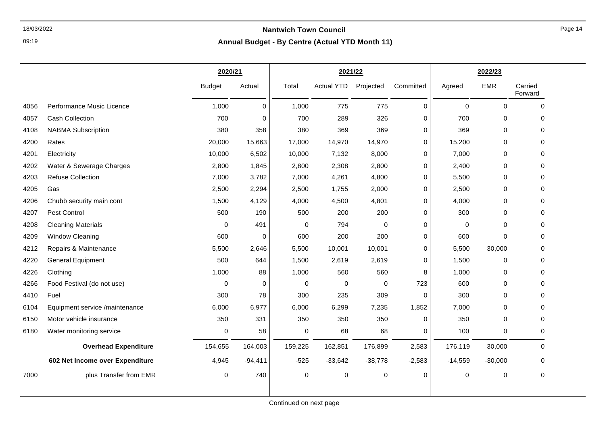09:19

|      |                                 | 2020/21       |             |         | 2021/22           |             |           | 2022/23     |             |                    |
|------|---------------------------------|---------------|-------------|---------|-------------------|-------------|-----------|-------------|-------------|--------------------|
|      |                                 | <b>Budget</b> | Actual      | Total   | <b>Actual YTD</b> | Projected   | Committed | Agreed      | <b>EMR</b>  | Carried<br>Forward |
| 4056 | Performance Music Licence       | 1,000         | $\mathbf 0$ | 1,000   | 775               | 775         | 0         | $\mathbf 0$ | 0           | $\mathbf 0$        |
| 4057 | Cash Collection                 | 700           | 0           | 700     | 289               | 326         | 0         | 700         | 0           | 0                  |
| 4108 | <b>NABMA Subscription</b>       | 380           | 358         | 380     | 369               | 369         | 0         | 369         | 0           | 0                  |
| 4200 | Rates                           | 20,000        | 15,663      | 17,000  | 14,970            | 14,970      | 0         | 15,200      | 0           | $\Omega$           |
| 4201 | Electricity                     | 10,000        | 6,502       | 10,000  | 7,132             | 8,000       | 0         | 7,000       | 0           | $\Omega$           |
| 4202 | Water & Sewerage Charges        | 2,800         | 1,845       | 2,800   | 2,308             | 2,800       | 0         | 2,400       | 0           | 0                  |
| 4203 | <b>Refuse Collection</b>        | 7,000         | 3,782       | 7,000   | 4,261             | 4,800       | 0         | 5,500       | $\mathbf 0$ | 0                  |
| 4205 | Gas                             | 2,500         | 2,294       | 2,500   | 1,755             | 2,000       | 0         | 2,500       | 0           | 0                  |
| 4206 | Chubb security main cont        | 1,500         | 4,129       | 4,000   | 4,500             | 4,801       | 0         | 4,000       | 0           | 0                  |
| 4207 | Pest Control                    | 500           | 190         | 500     | 200               | 200         | 0         | 300         | 0           | 0                  |
| 4208 | <b>Cleaning Materials</b>       | $\Omega$      | 491         | 0       | 794               | $\mathbf 0$ | 0         | $\mathbf 0$ | 0           | $\Omega$           |
| 4209 | <b>Window Cleaning</b>          | 600           | 0           | 600     | 200               | 200         | 0         | 600         | $\mathbf 0$ | 0                  |
| 4212 | Repairs & Maintenance           | 5,500         | 2,646       | 5,500   | 10,001            | 10,001      | 0         | 5,500       | 30,000      | 0                  |
| 4220 | <b>General Equipment</b>        | 500           | 644         | 1,500   | 2,619             | 2,619       | 0         | 1,500       | 0           | 0                  |
| 4226 | Clothing                        | 1,000         | 88          | 1,000   | 560               | 560         | 8         | 1,000       | 0           | 0                  |
| 4266 | Food Festival (do not use)      | $\mathbf 0$   | $\mathbf 0$ | 0       | $\mathbf 0$       | $\mathbf 0$ | 723       | 600         | 0           | $\mathbf 0$        |
| 4410 | Fuel                            | 300           | 78          | 300     | 235               | 309         | 0         | 300         | 0           | 0                  |
| 6104 | Equipment service /maintenance  | 6,000         | 6,977       | 6,000   | 6,299             | 7,235       | 1,852     | 7,000       | 0           | 0                  |
| 6150 | Motor vehicle insurance         | 350           | 331         | 350     | 350               | 350         | 0         | 350         | 0           | 0                  |
| 6180 | Water monitoring service        | $\mathbf 0$   | 58          | 0       | 68                | 68          | 0         | 100         | 0           | 0                  |
|      | <b>Overhead Expenditure</b>     | 154,655       | 164,003     | 159,225 | 162,851           | 176,899     | 2,583     | 176,119     | 30,000      | $\mathbf 0$        |
|      | 602 Net Income over Expenditure | 4,945         | $-94,411$   | $-525$  | $-33,642$         | $-38,778$   | $-2,583$  | $-14,559$   | $-30,000$   | 0                  |
| 7000 | plus Transfer from EMR          | $\mathbf 0$   | 740         | 0       | $\mathbf 0$       | $\mathsf 0$ | 0         | 0           | 0           | 0                  |
|      |                                 |               |             |         |                   |             |           |             |             |                    |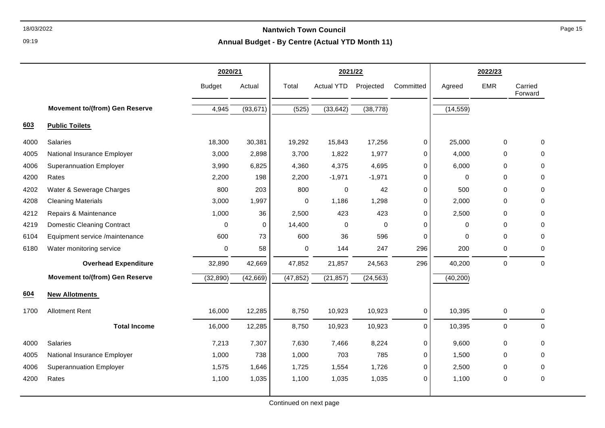09:19

# **Annual Budget - By Centre (Actual YTD Month 11)**

|      |                                       | 2020/21       |             | 2021/22     |                   |             |             |           |             |                    |
|------|---------------------------------------|---------------|-------------|-------------|-------------------|-------------|-------------|-----------|-------------|--------------------|
|      |                                       | <b>Budget</b> | Actual      | Total       | <b>Actual YTD</b> | Projected   | Committed   | Agreed    | <b>EMR</b>  | Carried<br>Forward |
|      | <b>Movement to/(from) Gen Reserve</b> | 4,945         | (93, 671)   | (525)       | (33, 642)         | (38, 778)   |             | (14, 559) |             |                    |
| 603  | <b>Public Toilets</b>                 |               |             |             |                   |             |             |           |             |                    |
| 4000 | <b>Salaries</b>                       | 18,300        | 30,381      | 19,292      | 15,843            | 17,256      | $\mathbf 0$ | 25,000    | $\mathbf 0$ | $\Omega$           |
| 4005 | National Insurance Employer           | 3,000         | 2,898       | 3,700       | 1,822             | 1,977       | 0           | 4,000     | 0           | $\Omega$           |
| 4006 | <b>Superannuation Employer</b>        | 3,990         | 6,825       | 4,360       | 4,375             | 4,695       | $\Omega$    | 6,000     | $\mathbf 0$ | 0                  |
| 4200 | Rates                                 | 2,200         | 198         | 2,200       | $-1,971$          | $-1,971$    | 0           | 0         | $\mathbf 0$ | $\Omega$           |
| 4202 | Water & Sewerage Charges              | 800           | 203         | 800         | 0                 | 42          | $\Omega$    | 500       | $\Omega$    | $\Omega$           |
| 4208 | <b>Cleaning Materials</b>             | 3,000         | 1,997       | $\mathbf 0$ | 1,186             | 1,298       | $\mathbf 0$ | 2,000     | 0           | $\Omega$           |
| 4212 | Repairs & Maintenance                 | 1,000         | 36          | 2,500       | 423               | 423         | $\Omega$    | 2,500     | $\Omega$    | $\Omega$           |
| 4219 | <b>Domestic Cleaning Contract</b>     | $\mathbf 0$   | $\mathbf 0$ | 14,400      | 0                 | $\mathbf 0$ | $\Omega$    | 0         | 0           | 0                  |
| 6104 | Equipment service /maintenance        | 600           | 73          | 600         | 36                | 596         | $\Omega$    | 0         | 0           | $\Omega$           |
| 6180 | Water monitoring service              | 0             | 58          | 0           | 144               | 247         | 296         | 200       | 0           | 0                  |
|      | <b>Overhead Expenditure</b>           | 32,890        | 42,669      | 47,852      | 21,857            | 24,563      | 296         | 40,200    | $\pmb{0}$   | $\mathbf 0$        |
|      | <b>Movement to/(from) Gen Reserve</b> | (32, 890)     | (42, 669)   | (47, 852)   | (21, 857)         | (24, 563)   |             | (40, 200) |             |                    |
| 604  | <b>New Allotments</b>                 |               |             |             |                   |             |             |           |             |                    |
| 1700 | <b>Allotment Rent</b>                 | 16,000        | 12,285      | 8,750       | 10,923            | 10,923      | 0           | 10,395    | 0           | $\mathbf 0$        |
|      | <b>Total Income</b>                   | 16,000        | 12,285      | 8,750       | 10,923            | 10,923      | $\mathbf 0$ | 10,395    | $\pmb{0}$   | $\Omega$           |
| 4000 | Salaries                              | 7,213         | 7,307       | 7,630       | 7,466             | 8,224       | 0           | 9,600     | 0           | $\Omega$           |
| 4005 | National Insurance Employer           | 1,000         | 738         | 1,000       | 703               | 785         | $\Omega$    | 1,500     | $\Omega$    | $\Omega$           |
| 4006 | <b>Superannuation Employer</b>        | 1,575         | 1,646       | 1,725       | 1,554             | 1,726       | $\mathbf 0$ | 2,500     | $\mathbf 0$ | $\Omega$           |
| 4200 | Rates                                 | 1,100         | 1,035       | 1,100       | 1,035             | 1,035       | $\Omega$    | 1,100     | $\mathbf 0$ | $\mathbf{0}$       |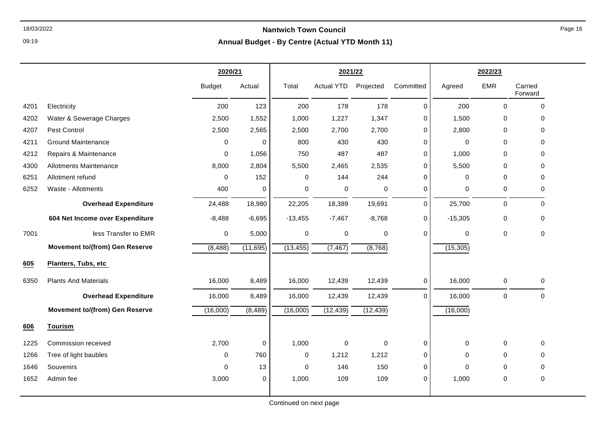09:19

# **Annual Budget - By Centre (Actual YTD Month 11)**

|      |                                       | 2020/21       |           |             | 2021/22           |             |             | 2022/23     |             |                    |
|------|---------------------------------------|---------------|-----------|-------------|-------------------|-------------|-------------|-------------|-------------|--------------------|
|      |                                       | <b>Budget</b> | Actual    | Total       | <b>Actual YTD</b> | Projected   | Committed   | Agreed      | <b>EMR</b>  | Carried<br>Forward |
| 4201 | Electricity                           | 200           | 123       | 200         | 178               | 178         | $\Omega$    | 200         | $\Omega$    | $\mathbf 0$        |
| 4202 | Water & Sewerage Charges              | 2,500         | 1,552     | 1,000       | 1,227             | 1,347       | $\mathbf 0$ | 1,500       | 0           | 0                  |
| 4207 | Pest Control                          | 2,500         | 2,565     | 2,500       | 2,700             | 2,700       | $\mathbf 0$ | 2,800       | $\mathbf 0$ | 0                  |
| 4211 | <b>Ground Maintenance</b>             | $\Omega$      | $\pmb{0}$ | 800         | 430               | 430         | $\Omega$    | $\pmb{0}$   | $\Omega$    | $\Omega$           |
| 4212 | Repairs & Maintenance                 | $\mathbf 0$   | 1,056     | 750         | 487               | 487         | $\Omega$    | 1,000       | $\Omega$    | $\Omega$           |
| 4300 | Allotments Maintenance                | 8,000         | 2,804     | 5,500       | 2,465             | 2,535       | $\Omega$    | 5,500       | $\Omega$    | $\Omega$           |
| 6251 | Allotment refund                      | $\Omega$      | 152       | 0           | 144               | 244         | $\Omega$    | 0           | $\Omega$    | 0                  |
| 6252 | Waste - Allotments                    | 400           | 0         | 0           | 0                 | 0           | $\Omega$    | 0           | 0           | 0                  |
|      | <b>Overhead Expenditure</b>           | 24,488        | 18,980    | 22,205      | 18,389            | 19,691      | $\mathbf 0$ | 25,700      | $\mathbf 0$ | $\Omega$           |
|      | 604 Net Income over Expenditure       | $-8,488$      | $-6,695$  | $-13,455$   | $-7,467$          | $-8,768$    | $\mathbf 0$ | $-15,305$   | $\pmb{0}$   | $\mathbf 0$        |
| 7001 | less Transfer to EMR                  | 0             | 5,000     | $\pmb{0}$   | $\pmb{0}$         | $\pmb{0}$   | $\mathbf 0$ | $\pmb{0}$   | $\mathbf 0$ | 0                  |
|      | <b>Movement to/(from) Gen Reserve</b> | (8, 488)      | (11, 695) | (13, 455)   | (7, 467)          | (8,768)     |             | (15, 305)   |             |                    |
| 605  | Planters, Tubs, etc                   |               |           |             |                   |             |             |             |             |                    |
| 6350 | <b>Plants And Materials</b>           | 16,000        | 8,489     | 16,000      | 12,439            | 12,439      | 0           | 16,000      | $\mathbf 0$ | 0                  |
|      | <b>Overhead Expenditure</b>           | 16,000        | 8,489     | 16,000      | 12,439            | 12,439      | $\Omega$    | 16,000      | $\mathbf 0$ | $\mathbf 0$        |
|      | <b>Movement to/(from) Gen Reserve</b> | (16,000)      | (8, 489)  | (16,000)    | (12, 439)         | (12, 439)   |             | (16,000)    |             |                    |
| 606  | Tourism                               |               |           |             |                   |             |             |             |             |                    |
| 1225 | Commission received                   | 2,700         | 0         | 1,000       | $\mathbf 0$       | $\mathbf 0$ | $\mathbf 0$ | 0           | $\mathbf 0$ | $\Omega$           |
| 1266 | Tree of light baubles                 | $\Omega$      | 760       | $\mathbf 0$ | 1,212             | 1,212       | $\mathbf 0$ | 0           | 0           | $\Omega$           |
| 1646 | Souvenirs                             | $\Omega$      | 13        | $\mathbf 0$ | 146               | 150         | $\mathbf 0$ | $\mathbf 0$ | $\mathbf 0$ | 0                  |
| 1652 | Admin fee                             | 3,000         | 0         | 1,000       | 109               | 109         | $\Omega$    | 1,000       | $\mathbf 0$ | 0                  |

Continued on next page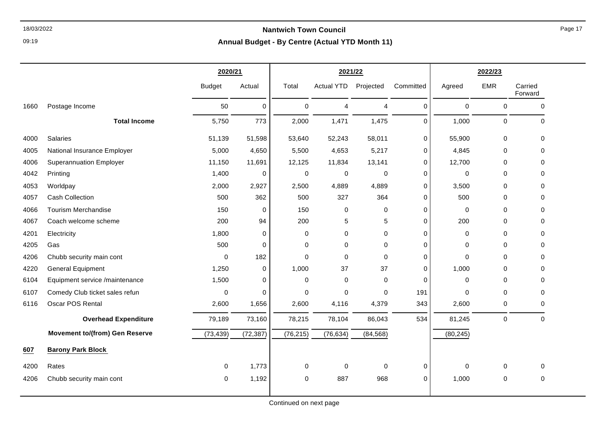09:19

# **Annual Budget - By Centre (Actual YTD Month 11)**

|      |                                       | 2020/21       |             | 2021/22     |                   |                | 2022/23     |             |             |                    |
|------|---------------------------------------|---------------|-------------|-------------|-------------------|----------------|-------------|-------------|-------------|--------------------|
|      |                                       | <b>Budget</b> | Actual      | Total       | <b>Actual YTD</b> | Projected      | Committed   | Agreed      | <b>EMR</b>  | Carried<br>Forward |
| 1660 | Postage Income                        | 50            | 0           | 0           | 4                 | $\overline{4}$ | 0           | $\pmb{0}$   | $\mathbf 0$ | 0                  |
|      | <b>Total Income</b>                   | 5,750         | 773         | 2,000       | 1,471             | 1,475          | 0           | 1,000       | $\mathbf 0$ | $\mathbf 0$        |
| 4000 | Salaries                              | 51,139        | 51,598      | 53,640      | 52,243            | 58,011         | 0           | 55,900      | 0           | 0                  |
| 4005 | National Insurance Employer           | 5,000         | 4,650       | 5,500       | 4,653             | 5,217          | 0           | 4,845       | 0           | 0                  |
| 4006 | <b>Superannuation Employer</b>        | 11,150        | 11,691      | 12,125      | 11,834            | 13,141         | 0           | 12,700      | $\Omega$    | 0                  |
| 4042 | Printing                              | 1,400         | 0           | 0           | $\mathbf 0$       | $\mathbf 0$    | 0           | 0           | $\mathbf 0$ | 0                  |
| 4053 | Worldpay                              | 2,000         | 2,927       | 2,500       | 4,889             | 4,889          | 0           | 3,500       | $\mathbf 0$ | $\mathbf 0$        |
| 4057 | <b>Cash Collection</b>                | 500           | 362         | 500         | 327               | 364            | 0           | 500         | $\mathbf 0$ | 0                  |
| 4066 | <b>Tourism Merchandise</b>            | 150           | $\mathbf 0$ | 150         | 0                 | $\mathbf 0$    | 0           | 0           | $\mathbf 0$ | $\Omega$           |
| 4067 | Coach welcome scheme                  | 200           | 94          | 200         | 5                 | 5              | 0           | 200         | $\mathbf 0$ | $\mathbf 0$        |
| 4201 | Electricity                           | 1,800         | 0           | $\mathbf 0$ | 0                 | $\mathbf 0$    | 0           | $\mathbf 0$ | $\mathbf 0$ | $\mathbf 0$        |
| 4205 | Gas                                   | 500           | 0           | $\mathbf 0$ | 0                 | $\mathbf 0$    | 0           | 0           | $\mathbf 0$ | 0                  |
| 4206 | Chubb security main cont              | 0             | 182         | $\mathbf 0$ | 0                 | $\mathbf 0$    | 0           | $\mathbf 0$ | $\mathbf 0$ | 0                  |
| 4220 | <b>General Equipment</b>              | 1,250         | 0           | 1,000       | 37                | 37             | 0           | 1,000       | $\Omega$    | $\Omega$           |
| 6104 | Equipment service /maintenance        | 1,500         | 0           | $\mathbf 0$ | 0                 | $\mathbf 0$    | $\mathbf 0$ | 0           | $\mathbf 0$ | $\Omega$           |
| 6107 | Comedy Club ticket sales refun        | 0             | 0           | $\mathbf 0$ | 0                 | $\Omega$       | 191         | 0           | $\mathbf 0$ | 0                  |
| 6116 | Oscar POS Rental                      | 2,600         | 1,656       | 2,600       | 4,116             | 4,379          | 343         | 2,600       | 0           | 0                  |
|      | <b>Overhead Expenditure</b>           | 79,189        | 73,160      | 78,215      | 78,104            | 86,043         | 534         | 81,245      | $\mathbf 0$ | $\mathbf 0$        |
|      | <b>Movement to/(from) Gen Reserve</b> | (73, 439)     | (72, 387)   | (76, 215)   | (76, 634)         | (84, 568)      |             | (80, 245)   |             |                    |
| 607  | <b>Barony Park Block</b>              |               |             |             |                   |                |             |             |             |                    |
| 4200 | Rates                                 | $\mathbf 0$   | 1,773       | $\mathbf 0$ | 0                 | $\mathbf 0$    | 0           | $\pmb{0}$   | $\mathbf 0$ | $\mathbf 0$        |
| 4206 | Chubb security main cont              | $\mathbf 0$   | 1,192       | $\mathbf 0$ | 887               | 968            | 0           | 1,000       | $\mathbf 0$ | $\mathbf 0$        |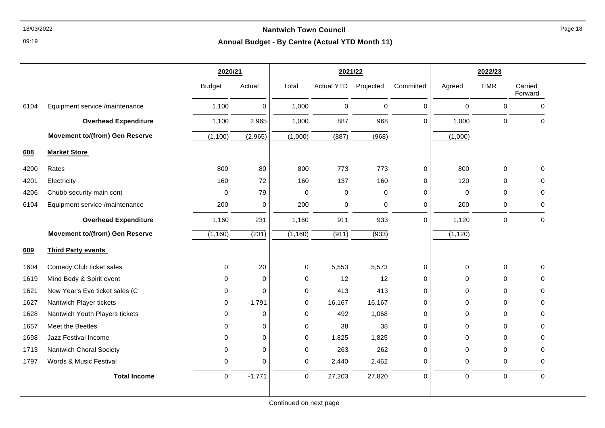09:19

|      |                                       | 2020/21       |             |             | 2021/22           |             |             | 2022/23     |             |                    |
|------|---------------------------------------|---------------|-------------|-------------|-------------------|-------------|-------------|-------------|-------------|--------------------|
|      |                                       | <b>Budget</b> | Actual      | Total       | <b>Actual YTD</b> | Projected   | Committed   | Agreed      | <b>EMR</b>  | Carried<br>Forward |
| 6104 | Equipment service /maintenance        | 1,100         | $\mathbf 0$ | 1,000       | 0                 | $\mathsf 0$ | 0           | 0           | $\mathbf 0$ | $\mathbf 0$        |
|      | <b>Overhead Expenditure</b>           | 1,100         | 2,965       | 1,000       | 887               | 968         | $\Omega$    | 1,000       | $\mathbf 0$ | $\Omega$           |
|      | <b>Movement to/(from) Gen Reserve</b> | (1, 100)      | (2,965)     | (1,000)     | (887)             | (968)       |             | (1,000)     |             |                    |
| 608  | <b>Market Store</b>                   |               |             |             |                   |             |             |             |             |                    |
| 4200 | Rates                                 | 800           | 80          | 800         | 773               | 773         | $\mathsf 0$ | 800         | $\Omega$    | 0                  |
| 4201 | Electricity                           | 160           | 72          | 160         | 137               | 160         | 0           | 120         | $\Omega$    | $\Omega$           |
| 4206 | Chubb security main cont              | 0             | 79          | $\mathbf 0$ | 0                 | $\Omega$    | 0           | 0           | $\Omega$    | $\Omega$           |
| 6104 | Equipment service /maintenance        | 200           | $\mathbf 0$ | 200         | 0                 | $\mathbf 0$ | 0           | 200         | 0           | 0                  |
|      | <b>Overhead Expenditure</b>           | 1,160         | 231         | 1,160       | 911               | 933         | $\Omega$    | 1,120       | $\mathbf 0$ | $\Omega$           |
|      | <b>Movement to/(from) Gen Reserve</b> | (1, 160)      | (231)       | (1, 160)    | (911)             | (933)       |             | (1, 120)    |             |                    |
| 609  | <b>Third Party events</b>             |               |             |             |                   |             |             |             |             |                    |
| 1604 | Comedy Club ticket sales              | 0             | 20          | $\mathbf 0$ | 5,553             | 5,573       | 0           | $\pmb{0}$   | $\mathbf 0$ | 0                  |
| 1619 | Mind Body & Spirit event              | 0             | $\mathbf 0$ | $\mathbf 0$ | 12                | 12          | 0           | $\Omega$    | $\Omega$    | $\Omega$           |
| 1621 | New Year's Eve ticket sales (C        | 0             | $\mathbf 0$ | $\mathbf 0$ | 413               | 413         | 0           | 0           | $\Omega$    | 0                  |
| 1627 | Nantwich Player tickets               | $\Omega$      | $-1,791$    | $\Omega$    | 16,167            | 16,167      | 0           | $\Omega$    | $\Omega$    | $\Omega$           |
| 1628 | Nantwich Youth Players tickets        | 0             | $\mathbf 0$ | $\mathbf 0$ | 492               | 1,068       | 0           | $\Omega$    | $\Omega$    | $\Omega$           |
| 1657 | Meet the Beetles                      | 0             | 0           | $\mathbf 0$ | 38                | 38          | 0           | 0           | $\Omega$    | $\Omega$           |
| 1698 | Jazz Festival Income                  | 0             | $\mathbf 0$ | $\mathbf 0$ | 1,825             | 1,825       | 0           | 0           | $\Omega$    | 0                  |
| 1713 | Nantwich Choral Society               | 0             | 0           | $\mathbf 0$ | 263               | 262         | 0           | 0           | $\Omega$    | $\Omega$           |
| 1797 | Words & Music Festival                | 0             | $\mathbf 0$ | $\mathbf 0$ | 2,440             | 2,462       | 0           | 0           | $\mathbf 0$ | $\Omega$           |
|      | <b>Total Income</b>                   | 0             | $-1,771$    | $\mathbf 0$ | 27,203            | 27,820      | 0           | $\mathbf 0$ | $\mathbf 0$ | $\mathbf 0$        |